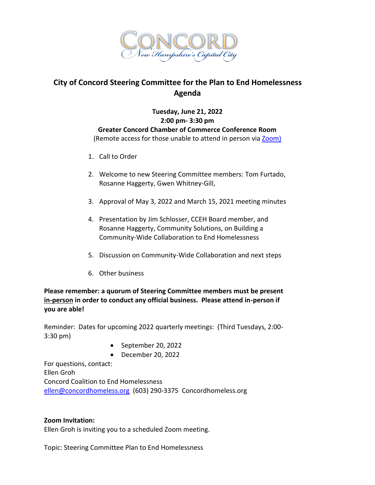

## **City of Concord Steering Committee for the Plan to End Homelessness Agenda**

## **Tuesday, June 21, 2022 2:00 pm- 3:30 pm Greater Concord Chamber of Commerce Conference Room** (Remote access for those unable to attend in person vi[a Zoom\)](https://us02web.zoom.us/j/85653485804?pwd=cDJ6djFBamZVblFZNEh2OGdKeTJ3Zz09)

- 1. Call to Order
- 2. Welcome to new Steering Committee members: Tom Furtado, Rosanne Haggerty, Gwen Whitney-Gill,
- 3. Approval of May 3, 2022 and March 15, 2021 meeting minutes
- 4. Presentation by Jim Schlosser, CCEH Board member, and Rosanne Haggerty, Community Solutions, on Building a Community-Wide Collaboration to End Homelessness
- 5. Discussion on Community-Wide Collaboration and next steps
- 6. Other business

## **Please remember: a quorum of Steering Committee members must be present in-person in order to conduct any official business. Please attend in-person if you are able!**

Reminder: Dates for upcoming 2022 quarterly meetings: (Third Tuesdays, 2:00- 3:30 pm)

- $\bullet$  September 20, 2022
- December 20, 2022

For questions, contact: Ellen Groh Concord Coalition to End Homelessness [ellen@concordhomeless.org](mailto:ellen@concordhomeless.org) (603) 290-3375 Concordhomeless.org

## **Zoom Invitation:**

Ellen Groh is inviting you to a scheduled Zoom meeting.

Topic: Steering Committee Plan to End Homelessness